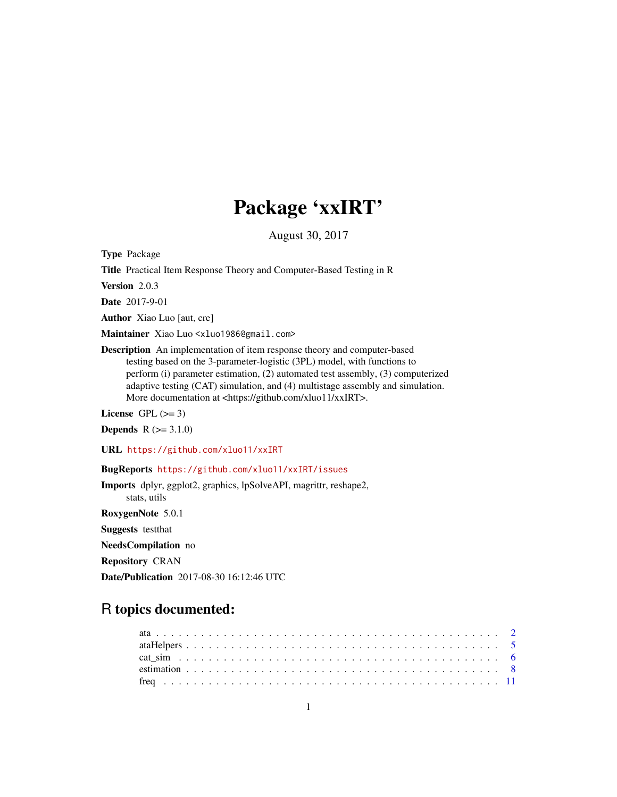# Package 'xxIRT'

August 30, 2017

Type Package

Title Practical Item Response Theory and Computer-Based Testing in R

Version 2.0.3

Date 2017-9-01

Author Xiao Luo [aut, cre]

Maintainer Xiao Luo <xluo1986@gmail.com>

Description An implementation of item response theory and computer-based testing based on the 3-parameter-logistic (3PL) model, with functions to perform (i) parameter estimation, (2) automated test assembly, (3) computerized adaptive testing (CAT) simulation, and (4) multistage assembly and simulation. More documentation at <https://github.com/xluo11/xxIRT>.

License GPL  $(>= 3)$ 

**Depends**  $R (= 3.1.0)$ 

URL <https://github.com/xluo11/xxIRT>

BugReports <https://github.com/xluo11/xxIRT/issues>

Imports dplyr, ggplot2, graphics, lpSolveAPI, magrittr, reshape2, stats, utils RoxygenNote 5.0.1 Suggests testthat NeedsCompilation no Repository CRAN Date/Publication 2017-08-30 16:12:46 UTC

# R topics documented: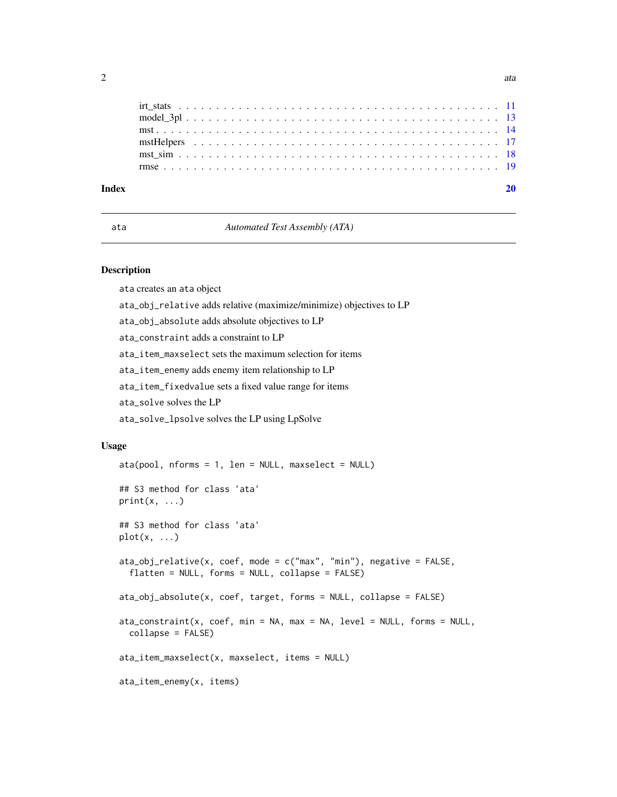<span id="page-1-0"></span>

| Index |  |  |  |  |  |  |  |  |  |  |  |  |  |  |  |  |  |  |  |  |
|-------|--|--|--|--|--|--|--|--|--|--|--|--|--|--|--|--|--|--|--|--|
|       |  |  |  |  |  |  |  |  |  |  |  |  |  |  |  |  |  |  |  |  |
|       |  |  |  |  |  |  |  |  |  |  |  |  |  |  |  |  |  |  |  |  |
|       |  |  |  |  |  |  |  |  |  |  |  |  |  |  |  |  |  |  |  |  |
|       |  |  |  |  |  |  |  |  |  |  |  |  |  |  |  |  |  |  |  |  |
|       |  |  |  |  |  |  |  |  |  |  |  |  |  |  |  |  |  |  |  |  |
|       |  |  |  |  |  |  |  |  |  |  |  |  |  |  |  |  |  |  |  |  |

#### ata *Automated Test Assembly (ATA)*

#### Description

ata creates an ata object

ata\_obj\_relative adds relative (maximize/minimize) objectives to LP

ata\_obj\_absolute adds absolute objectives to LP

ata\_constraint adds a constraint to LP

ata\_item\_maxselect sets the maximum selection for items

ata\_item\_enemy adds enemy item relationship to LP

ata\_item\_fixedvalue sets a fixed value range for items

ata\_solve solves the LP

ata\_solve\_lpsolve solves the LP using LpSolve

#### Usage

```
ata(pool, nforms = 1, len = NULL, maxselect = NULL)## S3 method for class 'ata'
print(x, \ldots)## S3 method for class 'ata'
plot(x, \ldots)ata\_obj\_relative(x, coef, mode = c("max", "min"), negative = FALSE,flatten = NULL, forms = NULL, collapse = FALSE)
ata_obj_absolute(x, coef, target, forms = NULL, collapse = FALSE)
ata\_constraint(x, coef, min = NA, max = NA, level = NULL, forms = NULL,collapse = FALSE)
ata_item_maxselect(x, maxselect, items = NULL)
ata_item_enemy(x, items)
```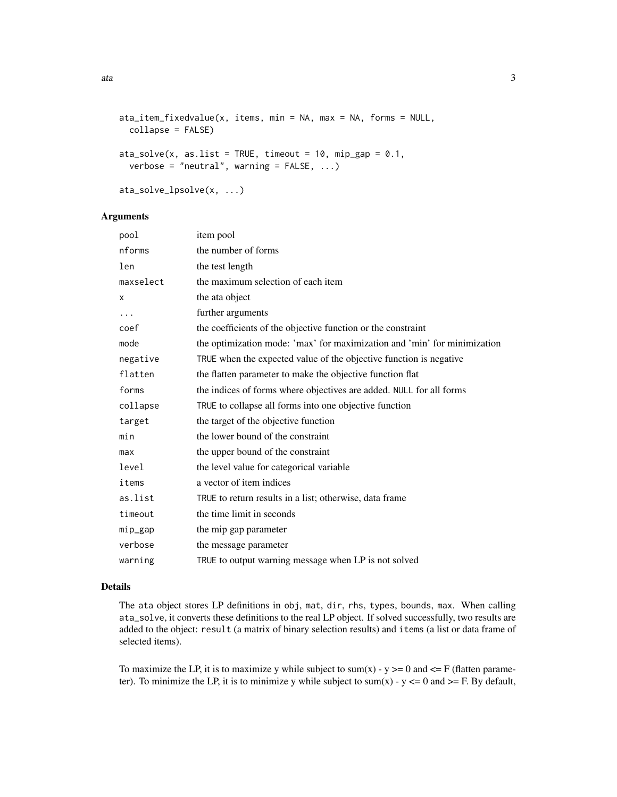```
ata_item_fixedvalue(x, items, min = NA, max = NA, forms = NULL,
 collapse = FALSE)
ata\_solve(x, as. list = TRUE, timeout = 10, min\_gap = 0.1,verbose = "neutral", warning = FALSE, ...)
```
#### Arguments

ata\_solve\_lpsolve(x, ...)

| pool      | item pool                                                                |
|-----------|--------------------------------------------------------------------------|
| nforms    | the number of forms                                                      |
| len       | the test length                                                          |
| maxselect | the maximum selection of each item                                       |
| X         | the ata object                                                           |
| .         | further arguments                                                        |
| coef      | the coefficients of the objective function or the constraint             |
| mode      | the optimization mode: 'max' for maximization and 'min' for minimization |
| negative  | TRUE when the expected value of the objective function is negative       |
| flatten   | the flatten parameter to make the objective function flat                |
| forms     | the indices of forms where objectives are added. NULL for all forms      |
| collapse  | TRUE to collapse all forms into one objective function                   |
| target    | the target of the objective function                                     |
| min       | the lower bound of the constraint                                        |
| max       | the upper bound of the constraint                                        |
| level     | the level value for categorical variable                                 |
| items     | a vector of item indices                                                 |
| as.list   | TRUE to return results in a list; otherwise, data frame                  |
| timeout   | the time limit in seconds                                                |
| mip_gap   | the mip gap parameter                                                    |
| verbose   | the message parameter                                                    |
| warning   | TRUE to output warning message when LP is not solved                     |
|           |                                                                          |

#### Details

The ata object stores LP definitions in obj, mat, dir, rhs, types, bounds, max. When calling ata\_solve, it converts these definitions to the real LP object. If solved successfully, two results are added to the object: result (a matrix of binary selection results) and items (a list or data frame of selected items).

To maximize the LP, it is to maximize y while subject to sum(x) - y > = 0 and  $\leq$  F (flatten parameter). To minimize the LP, it is to minimize y while subject to sum(x) -  $y \le 0$  and  $\ge$  F. By default,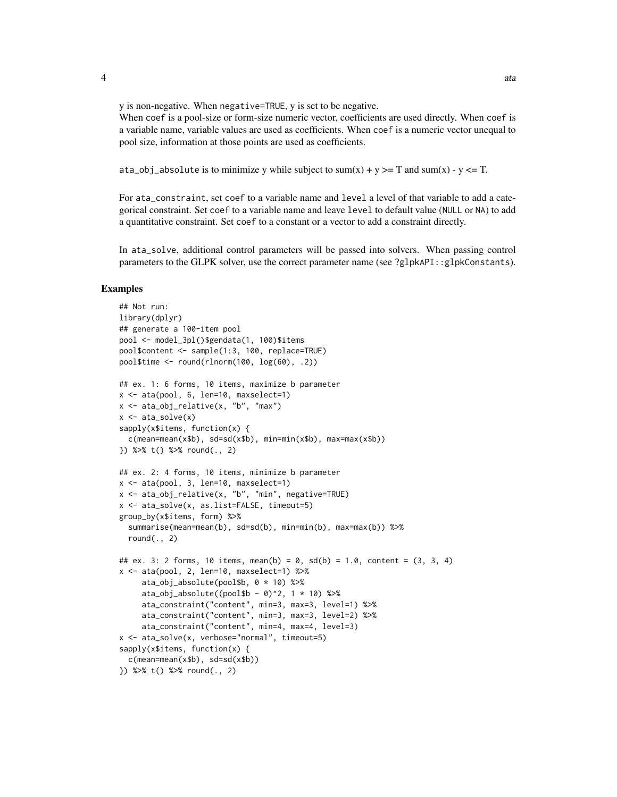y is non-negative. When negative=TRUE, y is set to be negative.

When coef is a pool-size or form-size numeric vector, coefficients are used directly. When coef is a variable name, variable values are used as coefficients. When coef is a numeric vector unequal to pool size, information at those points are used as coefficients.

ata\_obj\_absolute is to minimize y while subject to sum(x) + y >= T and sum(x) - y <= T.

For ata\_constraint, set coef to a variable name and level a level of that variable to add a categorical constraint. Set coef to a variable name and leave level to default value (NULL or NA) to add a quantitative constraint. Set coef to a constant or a vector to add a constraint directly.

In ata\_solve, additional control parameters will be passed into solvers. When passing control parameters to the GLPK solver, use the correct parameter name (see ?glpkAPI::glpkConstants).

```
## Not run:
library(dplyr)
## generate a 100-item pool
pool <- model_3pl()$gendata(1, 100)$items
pool$content <- sample(1:3, 100, replace=TRUE)
pool$time \le round(rlnorm(100, \log(60), .2))
## ex. 1: 6 forms, 10 items, maximize b parameter
x \le - ata(pool, 6, len=10, maxselect=1)
x <- ata_obj_relative(x, "b", "max")
x \leftarrow \text{ata\_solve}(x)sapply(x$items, function(x) {
 c(mean=mean(x$b), sd=sd(x$b), min=min(x$b), max=max(x$b))
}) %>% t() %>% round(., 2)
## ex. 2: 4 forms, 10 items, minimize b parameter
x \le - ata(pool, 3, len=10, maxselect=1)
x <- ata_obj_relative(x, "b", "min", negative=TRUE)
x <- ata_solve(x, as.list=FALSE, timeout=5)
group_by(x$items, form) %>%
 summarise(mean=mean(b), sd=sd(b), min=min(b), max=max(b)) %>%
 round(., 2)## ex. 3: 2 forms, 10 items, mean(b) = 0, sd(b) = 1.0, content = (3, 3, 4)x \le - ata(pool, 2, len=10, maxselect=1) %>%
     ata_obj_absolute(pool$b, 0 * 10) %>%
     ata\_obj\_absolute((pool$b - 0)^2, 1 * 10) %ata_constraint("content", min=3, max=3, level=1) %>%
     ata_constraint("content", min=3, max=3, level=2) %>%
     ata_constraint("content", min=4, max=4, level=3)
x <- ata_solve(x, verbose="normal", timeout=5)
sapply(x$items, function(x) {
 c(mean=mean(x$b), sd=sd(x$b))
}) %>% t() %>% round(., 2)
```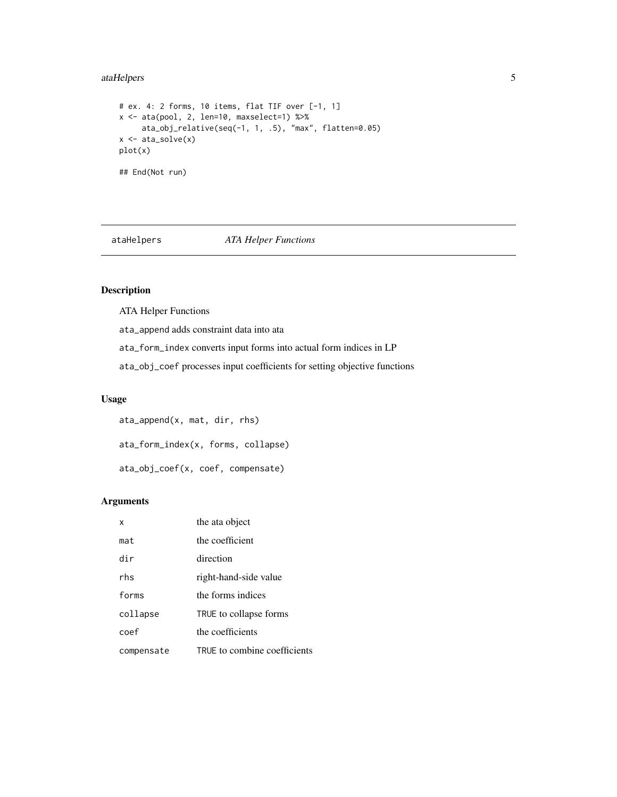### <span id="page-4-0"></span>ataHelpers 5

```
# ex. 4: 2 forms, 10 items, flat TIF over [-1, 1]
x \leftarrow \text{ata(pool}, 2, len=10, maxselect=1) %ata_obj_relative(seq(-1, 1, .5), "max", flatten=0.05)
x \leftarrow \text{ata\_solve}(x)plot(x)
## End(Not run)
```
ataHelpers *ATA Helper Functions*

#### Description

ATA Helper Functions

ata\_append adds constraint data into ata

ata\_form\_index converts input forms into actual form indices in LP

ata\_obj\_coef processes input coefficients for setting objective functions

#### Usage

ata\_append(x, mat, dir, rhs) ata\_form\_index(x, forms, collapse) ata\_obj\_coef(x, coef, compensate)

| x          | the ata object               |
|------------|------------------------------|
| mat        | the coefficient              |
| dir        | direction                    |
| rhs        | right-hand-side value        |
| forms      | the forms indices            |
| collapse   | TRUE to collapse forms       |
| coef       | the coefficients             |
| compensate | TRUE to combine coefficients |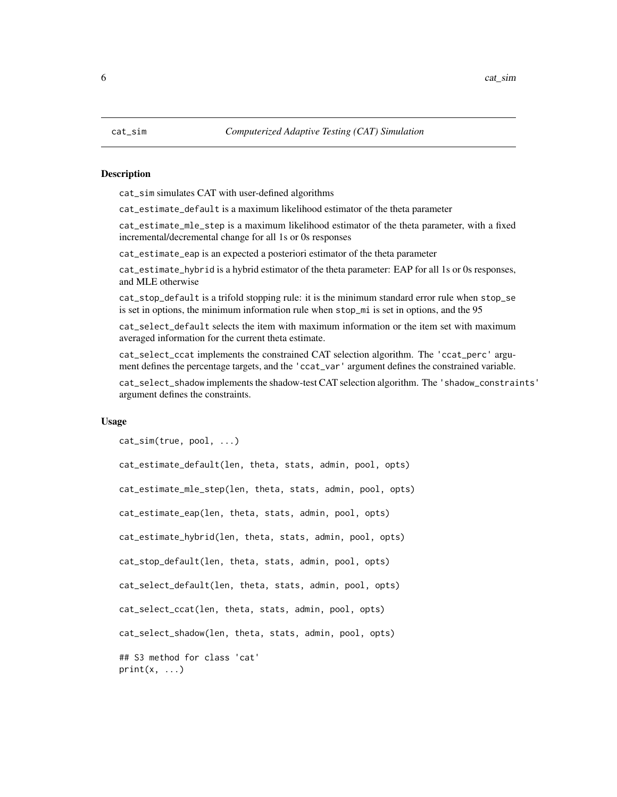<span id="page-5-0"></span>cat\_sim simulates CAT with user-defined algorithms

cat\_estimate\_default is a maximum likelihood estimator of the theta parameter

cat\_estimate\_mle\_step is a maximum likelihood estimator of the theta parameter, with a fixed incremental/decremental change for all 1s or 0s responses

cat\_estimate\_eap is an expected a posteriori estimator of the theta parameter

cat\_estimate\_hybrid is a hybrid estimator of the theta parameter: EAP for all 1s or 0s responses, and MLE otherwise

cat\_stop\_default is a trifold stopping rule: it is the minimum standard error rule when stop\_se is set in options, the minimum information rule when stop\_mi is set in options, and the 95

cat\_select\_default selects the item with maximum information or the item set with maximum averaged information for the current theta estimate.

cat\_select\_ccat implements the constrained CAT selection algorithm. The 'ccat\_perc' argument defines the percentage targets, and the 'ccat\_var' argument defines the constrained variable.

cat\_select\_shadow implements the shadow-test CAT selection algorithm. The 'shadow\_constraints' argument defines the constraints.

#### Usage

```
cat_sim(true, pool, ...)
```

```
cat_estimate_default(len, theta, stats, admin, pool, opts)
cat_estimate_mle_step(len, theta, stats, admin, pool, opts)
cat_estimate_eap(len, theta, stats, admin, pool, opts)
cat_estimate_hybrid(len, theta, stats, admin, pool, opts)
cat_stop_default(len, theta, stats, admin, pool, opts)
cat_select_default(len, theta, stats, admin, pool, opts)
cat_select_ccat(len, theta, stats, admin, pool, opts)
cat_select_shadow(len, theta, stats, admin, pool, opts)
## S3 method for class 'cat'
print(x, \ldots)
```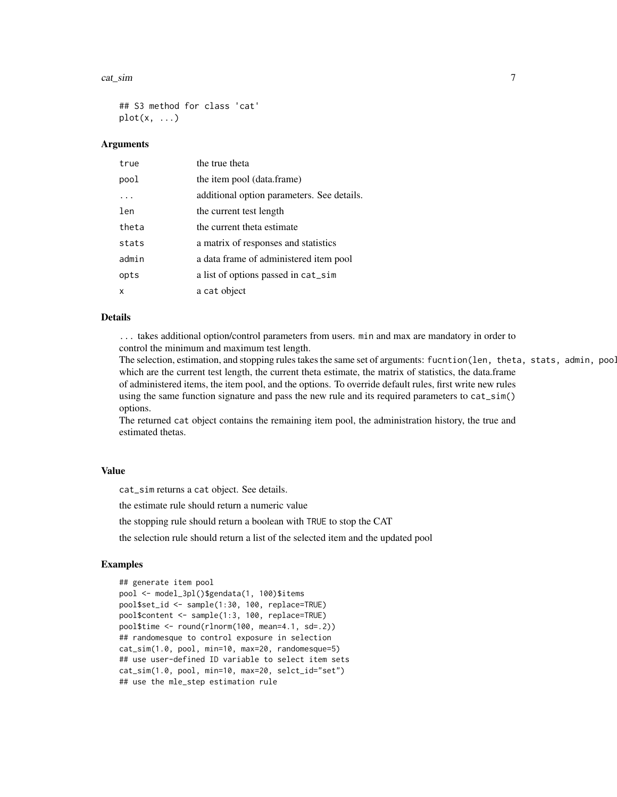#### cat\_sim 7

## S3 method for class 'cat'  $plot(x, \ldots)$ 

#### Arguments

| true  | the true theta                             |
|-------|--------------------------------------------|
| pool  | the item pool (data.frame)                 |
|       | additional option parameters. See details. |
| len   | the current test length                    |
| theta | the current theta estimate                 |
| stats | a matrix of responses and statistics       |
| admin | a data frame of administered item pool     |
| opts  | a list of options passed in cat_sim        |
| x     | a cat object                               |

#### Details

... takes additional option/control parameters from users. min and max are mandatory in order to control the minimum and maximum test length.

The selection, estimation, and stopping rules takes the same set of arguments: fucntion(len, theta, stats, admin, pool, which are the current test length, the current theta estimate, the matrix of statistics, the data.frame of administered items, the item pool, and the options. To override default rules, first write new rules using the same function signature and pass the new rule and its required parameters to cat\_sim() options.

The returned cat object contains the remaining item pool, the administration history, the true and estimated thetas.

#### Value

cat\_sim returns a cat object. See details.

the estimate rule should return a numeric value

the stopping rule should return a boolean with TRUE to stop the CAT

the selection rule should return a list of the selected item and the updated pool

```
## generate item pool
pool <- model_3pl()$gendata(1, 100)$items
pool$set_id <- sample(1:30, 100, replace=TRUE)
pool$content <- sample(1:3, 100, replace=TRUE)
pool$time <- round(rlnorm(100, mean=4.1, sd=.2))
## randomesque to control exposure in selection
cat_sim(1.0, pool, min=10, max=20, randomesque=5)
## use user-defined ID variable to select item sets
cat_sim(1.0, pool, min=10, max=20, selct_id="set")
## use the mle_step estimation rule
```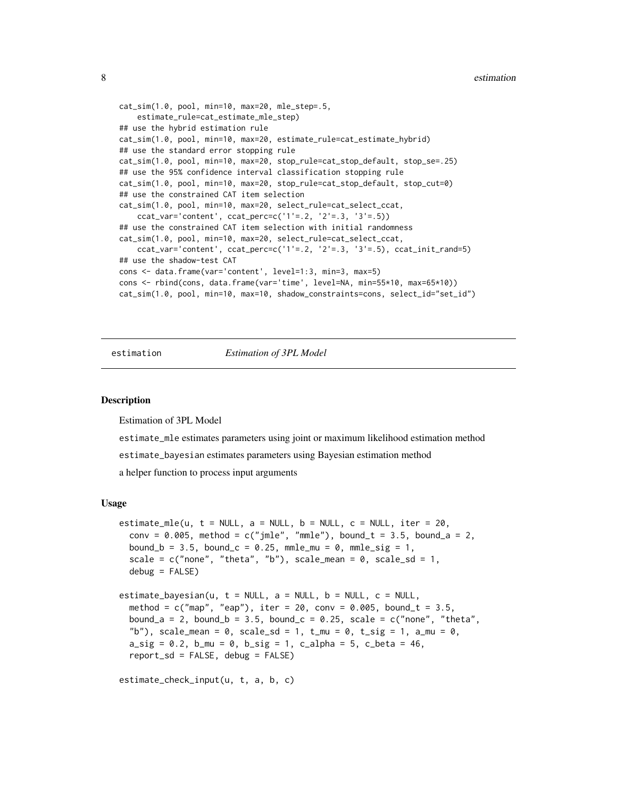```
cat_sim(1.0, pool, min=10, max=20, mle_step=.5,
    estimate_rule=cat_estimate_mle_step)
## use the hybrid estimation rule
cat_sim(1.0, pool, min=10, max=20, estimate_rule=cat_estimate_hybrid)
## use the standard error stopping rule
cat_sim(1.0, pool, min=10, max=20, stop_rule=cat_stop_default, stop_se=.25)
## use the 95% confidence interval classification stopping rule
cat_sim(1.0, pool, min=10, max=20, stop_rule=cat_stop_default, stop_cut=0)
## use the constrained CAT item selection
cat_sim(1.0, pool, min=10, max=20, select_rule=cat_select_ccat,
    ccat_var='content', ccat_perc=c('1'=.2, '2'=.3, '3'=.5))
## use the constrained CAT item selection with initial randomness
cat_sim(1.0, pool, min=10, max=20, select_rule=cat_select_ccat,
    ccat_var='content', ccat_perc=c('1'=.2, '2'=.3, '3'=.5), ccat_init_rand=5)
## use the shadow-test CAT
cons <- data.frame(var='content', level=1:3, min=3, max=5)
cons <- rbind(cons, data.frame(var='time', level=NA, min=55*10, max=65*10))
cat_sim(1.0, pool, min=10, max=10, shadow_constraints=cons, select_id="set_id")
```
estimation *Estimation of 3PL Model*

#### Description

Estimation of 3PL Model

estimate\_mle estimates parameters using joint or maximum likelihood estimation method

estimate\_bayesian estimates parameters using Bayesian estimation method

a helper function to process input arguments

#### Usage

```
estimate_mle(u, t = NULL, a = NULL, b = NULL, c = NULL, iter = 20,
  conv = 0.005, method = c("jmle", "mmle"), bound_t = 3.5, bound_a = 2,bound_b = 3.5, bound_c = 0.25, mmle_mu = 0, mmle_sig = 1,
  scale = c("none", "theta", "b"), scale_mean = 0, scale_sd = 1,
  debug = FALSE)estimate_bayesian(u, t = NULL, a = NULL, b = NULL, c = NULL,
 method = c("map", "cap"), iter = 20, conv = 0.005, bound_t = 3.5,
 bound_a = 2, bound_b = 3.5, bound_c = 0.25, scale = c("none", "theta","b"), scale_mean = 0, scale_sd = 1, t_mu = 0, t_sig = 1, a_mu = 0,
  a_s = 0.2, b_m = 0, b_s = 1, c_s = 1, c_b = 5, c_b = 46,
  report_s d = FALSE, debug = FALSE)
```
estimate\_check\_input(u, t, a, b, c)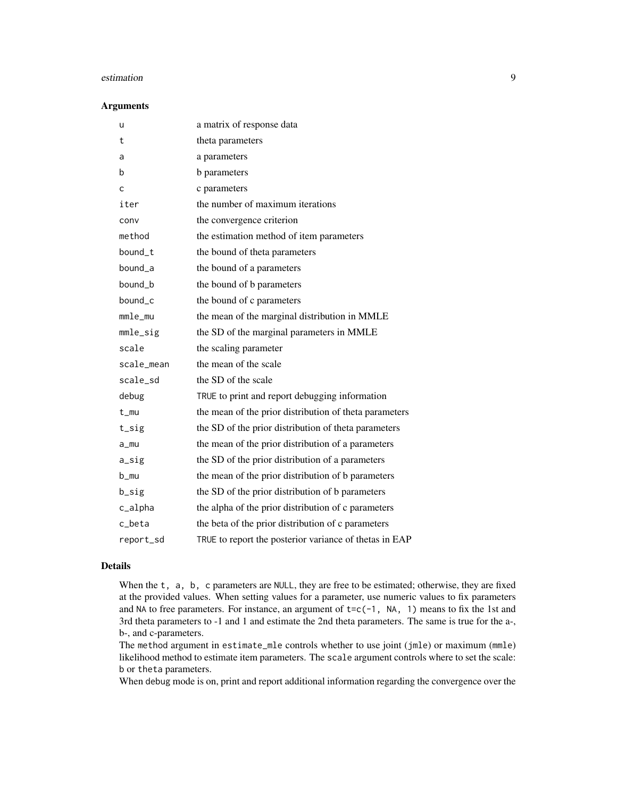#### estimation 9

#### Arguments

| u          | a matrix of response data                              |
|------------|--------------------------------------------------------|
| t          | theta parameters                                       |
| a          | a parameters                                           |
| b          | <b>b</b> parameters                                    |
| C          | c parameters                                           |
| iter       | the number of maximum iterations                       |
| conv       | the convergence criterion                              |
| method     | the estimation method of item parameters               |
| bound_t    | the bound of theta parameters                          |
| bound_a    | the bound of a parameters                              |
| bound_b    | the bound of b parameters                              |
| bound_c    | the bound of c parameters                              |
| mmle_mu    | the mean of the marginal distribution in MMLE          |
| mmle_sig   | the SD of the marginal parameters in MMLE              |
| scale      | the scaling parameter                                  |
| scale_mean | the mean of the scale                                  |
| scale_sd   | the SD of the scale                                    |
| debug      | TRUE to print and report debugging information         |
| t_mu       | the mean of the prior distribution of theta parameters |
| $t$ _sig   | the SD of the prior distribution of theta parameters   |
| $a$ _mu    | the mean of the prior distribution of a parameters     |
| a_sig      | the SD of the prior distribution of a parameters       |
| b_mu       | the mean of the prior distribution of b parameters     |
| b_sig      | the SD of the prior distribution of b parameters       |
| c_alpha    | the alpha of the prior distribution of c parameters    |
| c_beta     | the beta of the prior distribution of c parameters     |
| report_sd  | TRUE to report the posterior variance of thetas in EAP |

#### Details

When the t, a, b, c parameters are NULL, they are free to be estimated; otherwise, they are fixed at the provided values. When setting values for a parameter, use numeric values to fix parameters and NA to free parameters. For instance, an argument of  $t = c(-1, NA, 1)$  means to fix the 1st and 3rd theta parameters to -1 and 1 and estimate the 2nd theta parameters. The same is true for the a-, b-, and c-parameters.

The method argument in estimate\_mle controls whether to use joint (jmle) or maximum (mmle) likelihood method to estimate item parameters. The scale argument controls where to set the scale: b or theta parameters.

When debug mode is on, print and report additional information regarding the convergence over the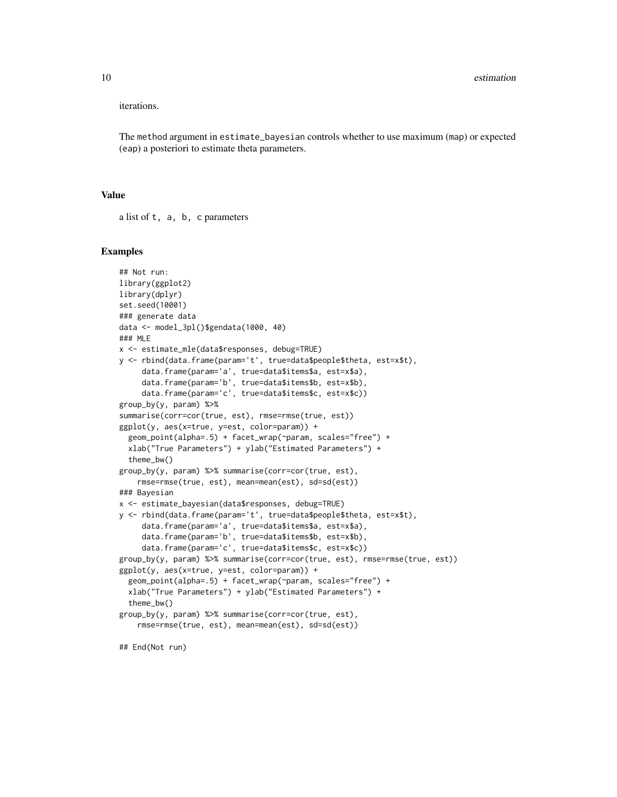iterations.

The method argument in estimate\_bayesian controls whether to use maximum (map) or expected (eap) a posteriori to estimate theta parameters.

#### Value

a list of t, a, b, c parameters

#### Examples

```
## Not run:
library(ggplot2)
library(dplyr)
set.seed(10001)
### generate data
data <- model_3pl()$gendata(1000, 40)
### MLE
x <- estimate_mle(data$responses, debug=TRUE)
y <- rbind(data.frame(param='t', true=data$people$theta, est=x$t),
     data.frame(param='a', true=data$items$a, est=x$a),
     data.frame(param='b', true=data$items$b, est=x$b),
     data.frame(param='c', true=data$items$c, est=x$c))
group_by(y, param) %>%
summarise(corr=cor(true, est), rmse=rmse(true, est))
ggplot(y, aes(x=true, y=est, color=param)) +
  geom_point(alpha=.5) + facet_wrap(~param, scales="free") +
  xlab("True Parameters") + ylab("Estimated Parameters") +
  theme_bw()
group_by(y, param) %>% summarise(corr=cor(true, est),
    rmse=rmse(true, est), mean=mean(est), sd=sd(est))
### Bayesian
x <- estimate_bayesian(data$responses, debug=TRUE)
y <- rbind(data.frame(param='t', true=data$people$theta, est=x$t),
     data.frame(param='a', true=data$items$a, est=x$a),
     data.frame(param='b', true=data$items$b, est=x$b),
     data.frame(param='c', true=data$items$c, est=x$c))
group_by(y, param) %>% summarise(corr=cor(true, est), rmse=rmse(true, est))
ggplot(y, aes(x=true, y=est, color=param)) +
  geom_point(alpha=.5) + facet_wrap(~param, scales="free") +
  xlab("True Parameters") + ylab("Estimated Parameters") +
  theme_bw()
group_by(y, param) %>% summarise(corr=cor(true, est),
    rmse=rmse(true, est), mean=mean(est), sd=sd(est))
```
## End(Not run)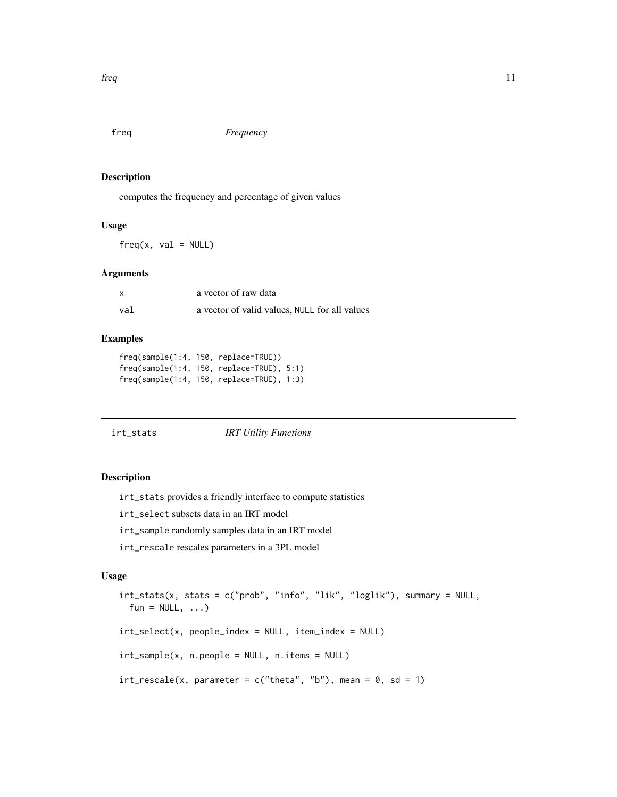<span id="page-10-0"></span>

computes the frequency and percentage of given values

#### Usage

 $freq(x, val = NULL)$ 

#### Arguments

| $\boldsymbol{\mathsf{x}}$ | a vector of raw data                          |
|---------------------------|-----------------------------------------------|
| val                       | a vector of valid values, NULL for all values |

#### Examples

freq(sample(1:4, 150, replace=TRUE)) freq(sample(1:4, 150, replace=TRUE), 5:1) freq(sample(1:4, 150, replace=TRUE), 1:3)

#### irt\_stats *IRT Utility Functions*

#### Description

irt\_stats provides a friendly interface to compute statistics

irt\_select subsets data in an IRT model

- irt\_sample randomly samples data in an IRT model
- irt\_rescale rescales parameters in a 3PL model

#### Usage

```
irt_stats(x, stats = c("prob", "info", "lik", "loglik"), summary = NULL,
 fun = NULL, ...)irt_select(x, people_index = NULL, item_index = NULL)
irt_sample(x, n.people = NULL, n.items = NULL)
irt\_rescale(x, parameter = c("theta", "b"), mean = 0, sd = 1)
```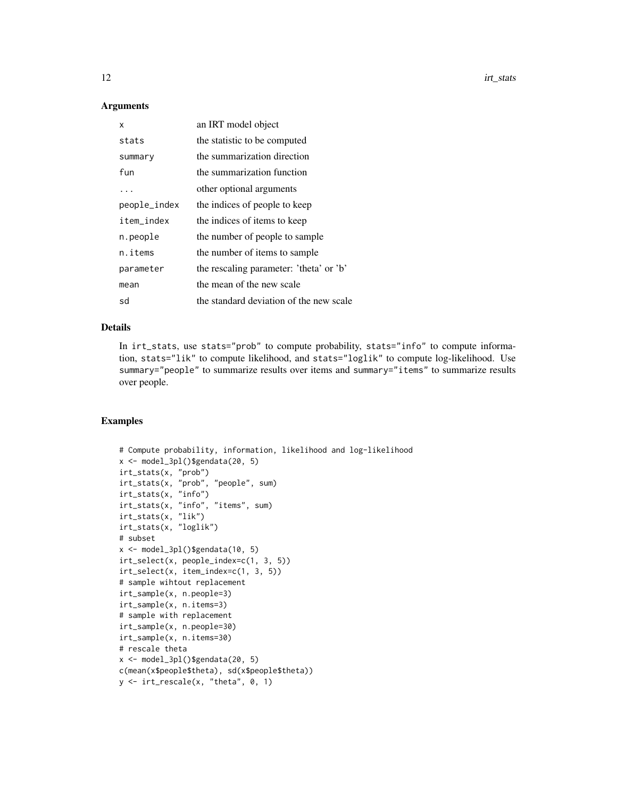#### Arguments

| x            | an IRT model object                     |
|--------------|-----------------------------------------|
| stats        | the statistic to be computed            |
| summary      | the summarization direction             |
| fun          | the summarization function              |
| $\ddotsc$    | other optional arguments                |
| people_index | the indices of people to keep           |
| item_index   | the indices of items to keep            |
| n.people     | the number of people to sample          |
| n.items      | the number of items to sample           |
| parameter    | the rescaling parameter: 'theta' or 'b' |
| mean         | the mean of the new scale               |
| sd           | the standard deviation of the new scale |

#### Details

In irt\_stats, use stats="prob" to compute probability, stats="info" to compute information, stats="lik" to compute likelihood, and stats="loglik" to compute log-likelihood. Use summary="people" to summarize results over items and summary="items" to summarize results over people.

```
# Compute probability, information, likelihood and log-likelihood
x <- model_3pl()$gendata(20, 5)
irt_stats(x, "prob")
irt_stats(x, "prob", "people", sum)
irt_stats(x, "info")
irt_stats(x, "info", "items", sum)
irt_stats(x, "lik")
irt_stats(x, "loglik")
# subset
x \le - model_3pl()$gendata(10, 5)
irt_select(x, people_index=c(1, 3, 5))
irt_select(x, item_index=c(1, 3, 5))
# sample wihtout replacement
irt_sample(x, n.people=3)
irt_sample(x, n.items=3)
# sample with replacement
irt_sample(x, n.people=30)
irt_sample(x, n.items=30)
# rescale theta
x <- model_3pl()$gendata(20, 5)
c(mean(x$people$theta), sd(x$people$theta))
y \leftarrow \text{irt\_rescale}(x, "theta", 0, 1)
```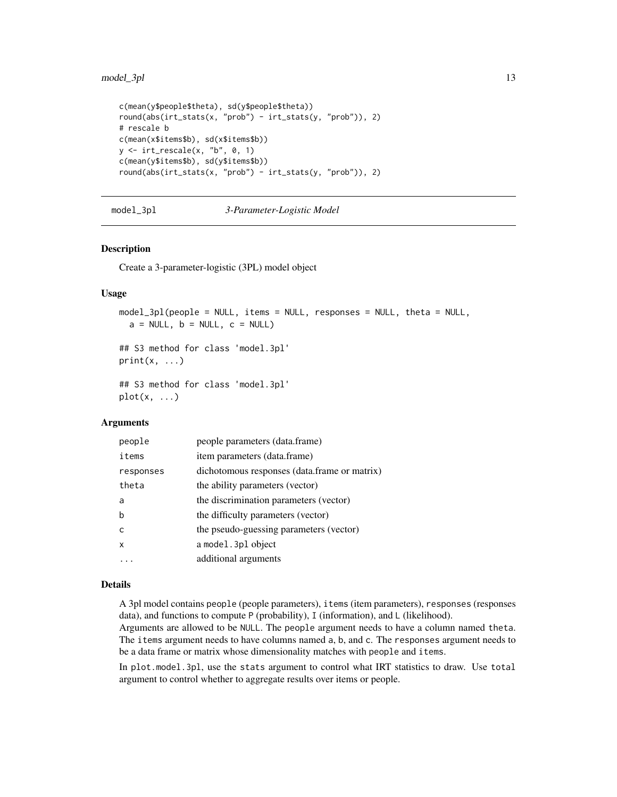#### <span id="page-12-0"></span>model\_3pl 13

```
c(mean(y$people$theta), sd(y$people$theta))
round(abs(irt_stats(x, "prob") - irt_stats(y, "prob")), 2)
# rescale b
c(mean(x$items$b), sd(x$items$b))
y \leftarrow \text{irt\_rescale}(x, "b", 0, 1)c(mean(y$items$b), sd(y$items$b))
round(abs(irt_stats(x, "prob") - irt_stats(y, "prob")), 2)
```
#### model\_3pl *3-Parameter-Logistic Model*

#### Description

Create a 3-parameter-logistic (3PL) model object

#### Usage

```
model_3pl(people = NULL, items = NULL, responses = NULL, theta = NULL,
 a = NULL, b = NULL, c = NULL)
```
## S3 method for class 'model.3pl'  $print(x, \ldots)$ 

## S3 method for class 'model.3pl'  $plot(x, \ldots)$ 

#### **Arguments**

| people    | people parameters (data.frame)               |
|-----------|----------------------------------------------|
| items     | item parameters (data.frame)                 |
| responses | dichotomous responses (data.frame or matrix) |
| theta     | the ability parameters (vector)              |
| a         | the discrimination parameters (vector)       |
| b         | the difficulty parameters (vector)           |
| C         | the pseudo-guessing parameters (vector)      |
| X         | a model. 3pl object                          |
|           | additional arguments                         |

#### Details

A 3pl model contains people (people parameters), items (item parameters), responses (responses data), and functions to compute P (probability), I (information), and L (likelihood).

Arguments are allowed to be NULL. The people argument needs to have a column named theta. The items argument needs to have columns named a, b, and c. The responses argument needs to be a data frame or matrix whose dimensionality matches with people and items.

In plot.model.3pl, use the stats argument to control what IRT statistics to draw. Use total argument to control whether to aggregate results over items or people.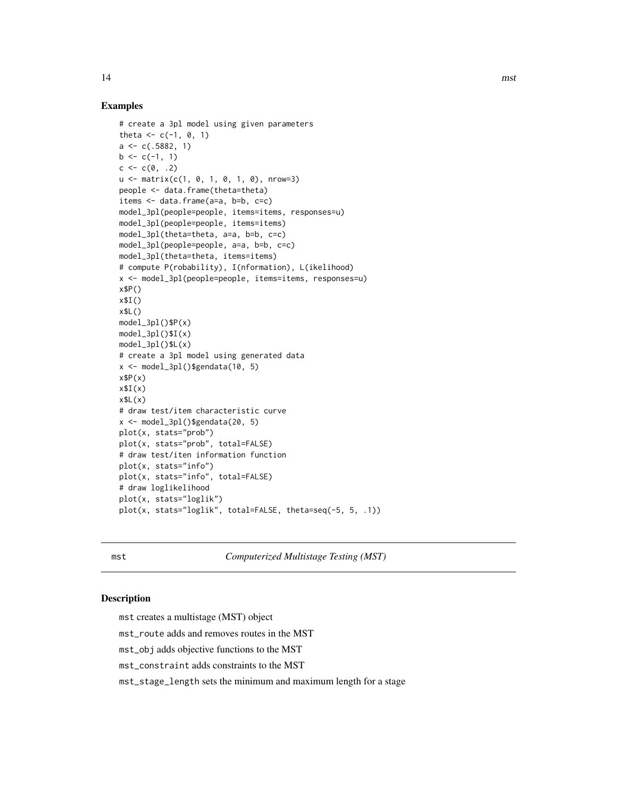#### Examples

```
# create a 3pl model using given parameters
theta \leq c(-1, 0, 1)a \leftarrow c(.5882, 1)b \leq c(-1, 1)c \leq -c(0, .2)u <- matrix(c(1, 0, 1, 0, 1, 0), nrow=3)
people <- data.frame(theta=theta)
items <- data.frame(a=a, b=b, c=c)
model_3pl(people=people, items=items, responses=u)
model_3pl(people=people, items=items)
model_3pl(theta=theta, a=a, b=b, c=c)
model_3pl(people=people, a=a, b=b, c=c)
model_3pl(theta=theta, items=items)
# compute P(robability), I(nformation), L(ikelihood)
x <- model_3pl(people=people, items=items, responses=u)
x$P()
x$I()
x$L()
model_3pl()$P(x)
model_3pl()$I(x)
model_3pl()$L(x)
# create a 3pl model using generated data
x \leftarrow model_3pl()$gendata(10, 5)
x$P(x)x$I(x)
x$L(x)# draw test/item characteristic curve
x <- model_3pl()$gendata(20, 5)
plot(x, stats="prob")
plot(x, stats="prob", total=FALSE)
# draw test/iten information function
plot(x, stats="info")
plot(x, stats="info", total=FALSE)
# draw loglikelihood
plot(x, stats="loglik")
plot(x, stats="loglik", total=FALSE, theta=seq(-5, 5, .1))
```
mst *Computerized Multistage Testing (MST)*

#### Description

mst creates a multistage (MST) object

mst\_route adds and removes routes in the MST

mst\_obj adds objective functions to the MST

mst\_constraint adds constraints to the MST

mst\_stage\_length sets the minimum and maximum length for a stage

<span id="page-13-0"></span>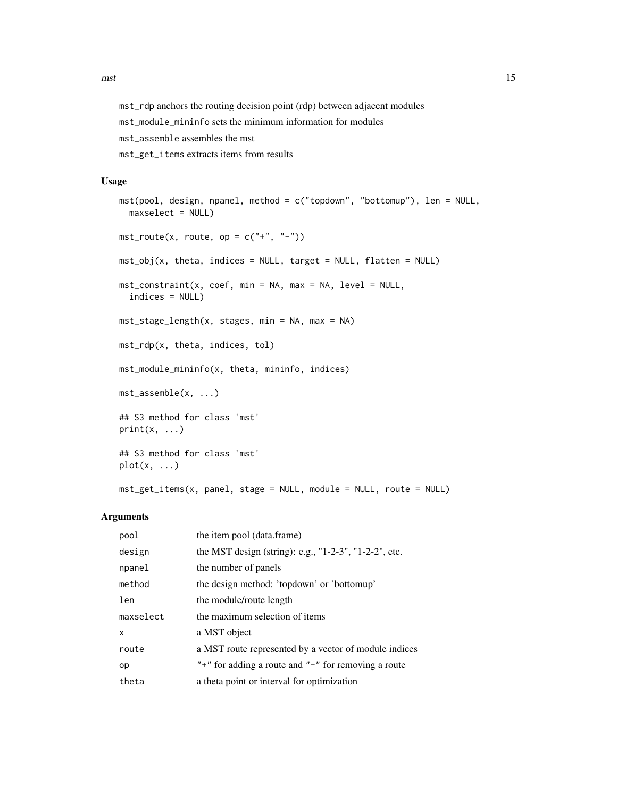mst\_rdp anchors the routing decision point (rdp) between adjacent modules

mst\_module\_mininfo sets the minimum information for modules

mst\_assemble assembles the mst

mst\_get\_items extracts items from results

#### Usage

```
mst(pool, design, npanel, method = c("topdown", "bottomup"), len = NULL,
  maxselect = NULL)
mst\_route(x, route, op = c("+", "-"))mst_obj(x, theta, indices = NULL, target = NULL, flatten = NULL)
mst_constraint(x, coef, min = NA, max = NA, level = NULL,
  indices = NULL)
mst_stage_length(x, stages, min = NA, max = NA)
mst_rdp(x, theta, indices, tol)
mst_module_mininfo(x, theta, mininfo, indices)
mst_assemble(x, ...)
## S3 method for class 'mst'
print(x, \ldots)## S3 method for class 'mst'
plot(x, \ldots)
```
# mst\_get\_items(x, panel, stage = NULL, module = NULL, route = NULL)

| pool      | the item pool (data.frame)                                  |
|-----------|-------------------------------------------------------------|
| design    | the MST design (string): e.g., "1-2-3", "1-2-2", etc.       |
| npanel    | the number of panels                                        |
| method    | the design method: 'topdown' or 'bottomup'                  |
| len       | the module/route length                                     |
| maxselect | the maximum selection of items                              |
| x         | a MST object                                                |
| route     | a MST route represented by a vector of module indices       |
| op        | " $+$ " for adding a route and " $-$ " for removing a route |
| theta     | a theta point or interval for optimization                  |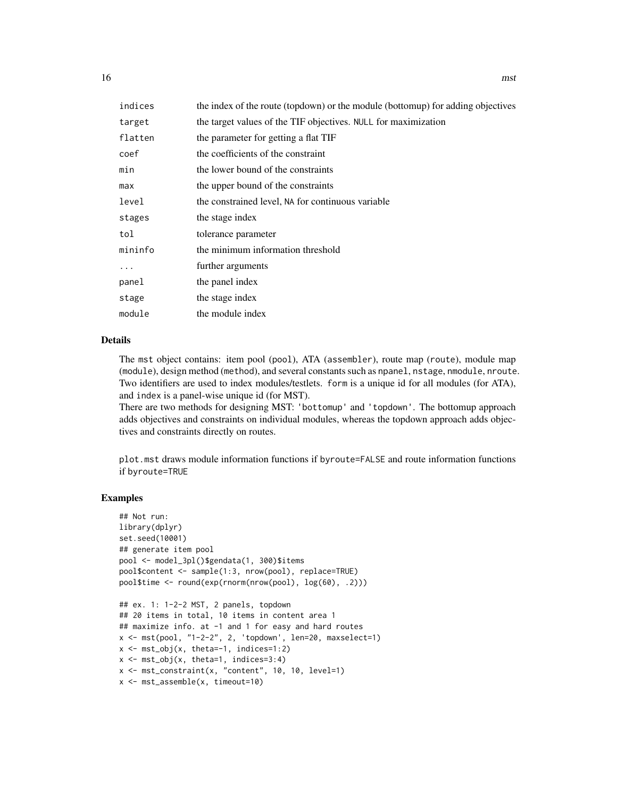| indices | the index of the route (topdown) or the module (bottomup) for adding objectives |
|---------|---------------------------------------------------------------------------------|
| target  | the target values of the TIF objectives. NULL for maximization                  |
| flatten | the parameter for getting a flat TIF                                            |
| coef    | the coefficients of the constraint                                              |
| min     | the lower bound of the constraints                                              |
| max     | the upper bound of the constraints                                              |
| level   | the constrained level, NA for continuous variable                               |
| stages  | the stage index                                                                 |
| tol     | tolerance parameter                                                             |
| mininfo | the minimum information threshold                                               |
| .       | further arguments                                                               |
| panel   | the panel index                                                                 |
| stage   | the stage index                                                                 |
| module  | the module index                                                                |

#### Details

The mst object contains: item pool (pool), ATA (assembler), route map (route), module map (module), design method (method), and several constants such as npanel, nstage, nmodule, nroute. Two identifiers are used to index modules/testlets. form is a unique id for all modules (for ATA), and index is a panel-wise unique id (for MST).

There are two methods for designing MST: 'bottomup' and 'topdown'. The bottomup approach adds objectives and constraints on individual modules, whereas the topdown approach adds objectives and constraints directly on routes.

plot.mst draws module information functions if byroute=FALSE and route information functions if byroute=TRUE

```
## Not run:
library(dplyr)
set.seed(10001)
## generate item pool
pool <- model_3pl()$gendata(1, 300)$items
pool$content <- sample(1:3, nrow(pool), replace=TRUE)
pool$time <- round(exp(rnorm(nrow(pool), log(60), .2)))
## ex. 1: 1-2-2 MST, 2 panels, topdown
## 20 items in total, 10 items in content area 1
## maximize info. at -1 and 1 for easy and hard routes
x <- mst(pool, "1-2-2", 2, 'topdown', len=20, maxselect=1)
x \leftarrow \text{mst\_obj}(x, \text{ theta}=-1, \text{ indices}=1:2)x \le - mst_obj(x, theta=1, indices=3:4)
x \le - mst_constraint(x, "content", 10, 10, level=1)
x <- mst_assemble(x, timeout=10)
```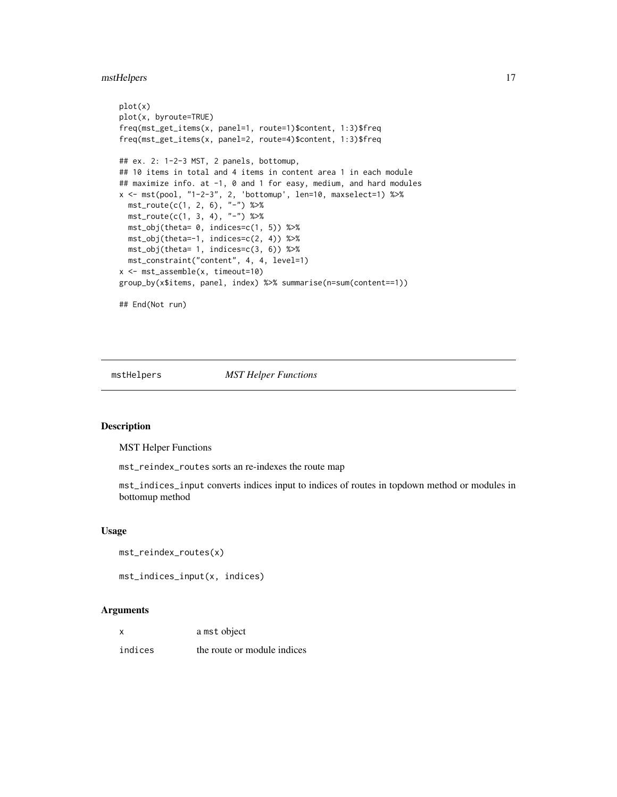#### <span id="page-16-0"></span>mstHelpers 17

```
plot(x)
plot(x, byroute=TRUE)
freq(mst_get_items(x, panel=1, route=1)$content, 1:3)$freq
freq(mst_get_items(x, panel=2, route=4)$content, 1:3)$freq
## ex. 2: 1-2-3 MST, 2 panels, bottomup,
## 10 items in total and 4 items in content area 1 in each module
## maximize info. at -1, 0 and 1 for easy, medium, and hard modules
x <- mst(pool, "1-2-3", 2, 'bottomup', len=10, maxselect=1) %>%
  mst\_route(c(1, 2, 6), "-"") %>%
  mst\_route(c(1, 3, 4), "-"") %>%
  mst_obj(theta= 0, indices=c(1, 5)) %>%
  mst_obj(theta=-1, indices=c(2, 4)) %>%
  mst_obj(theta= 1, indices=c(3, 6)) %>%
  mst_constraint("content", 4, 4, level=1)
x <- mst_assemble(x, timeout=10)
group_by(x$items, panel, index) %>% summarise(n=sum(content==1))
## End(Not run)
```
mstHelpers *MST Helper Functions*

#### Description

MST Helper Functions

mst\_reindex\_routes sorts an re-indexes the route map

mst\_indices\_input converts indices input to indices of routes in topdown method or modules in bottomup method

#### Usage

```
mst_reindex_routes(x)
```

```
mst_indices_input(x, indices)
```

| x       | a mst object                |
|---------|-----------------------------|
| indices | the route or module indices |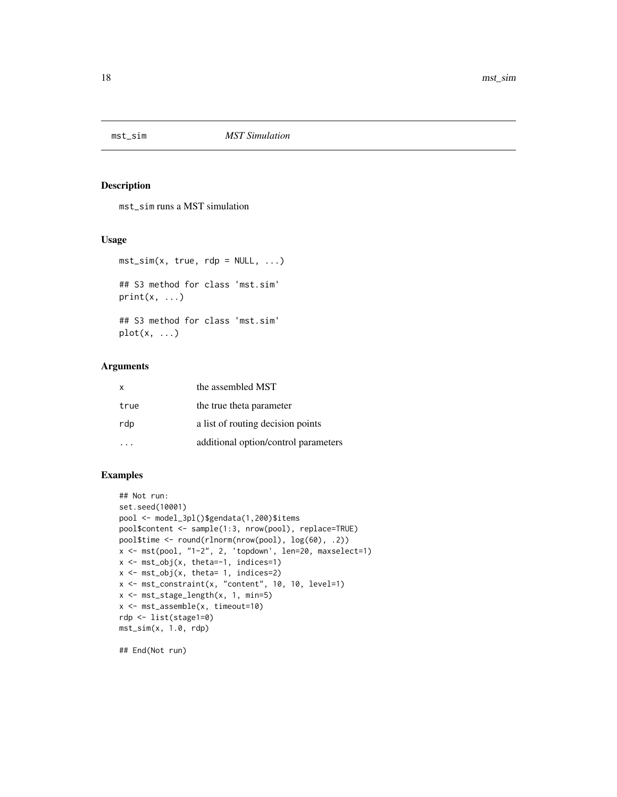<span id="page-17-0"></span>

mst\_sim runs a MST simulation

#### Usage

 $mst\_sim(x, true, rdp = NULL, ...)$ ## S3 method for class 'mst.sim'

## S3 method for class 'mst.sim'  $plot(x, \ldots)$ 

#### Arguments

 $print(x, \ldots)$ 

| $\mathsf{x}$ | the assembled MST                    |
|--------------|--------------------------------------|
| true         | the true theta parameter             |
| rdp          | a list of routing decision points    |
|              | additional option/control parameters |

#### Examples

```
## Not run:
set.seed(10001)
pool <- model_3pl()$gendata(1,200)$items
pool$content <- sample(1:3, nrow(pool), replace=TRUE)
pool$time <- round(rlnorm(nrow(pool), log(60), .2))
x <- mst(pool, "1-2", 2, 'topdown', len=20, maxselect=1)
x \le - mst_obj(x, theta=-1, indices=1)
x \leftarrow \text{mst\_obj}(x, \text{ theta= 1, indices=2})x <- mst_constraint(x, "content", 10, 10, level=1)
x <- mst_stage_length(x, 1, min=5)
x <- mst_assemble(x, timeout=10)
rdp <- list(stage1=0)
mst_sim(x, 1.0, rdp)
```
## End(Not run)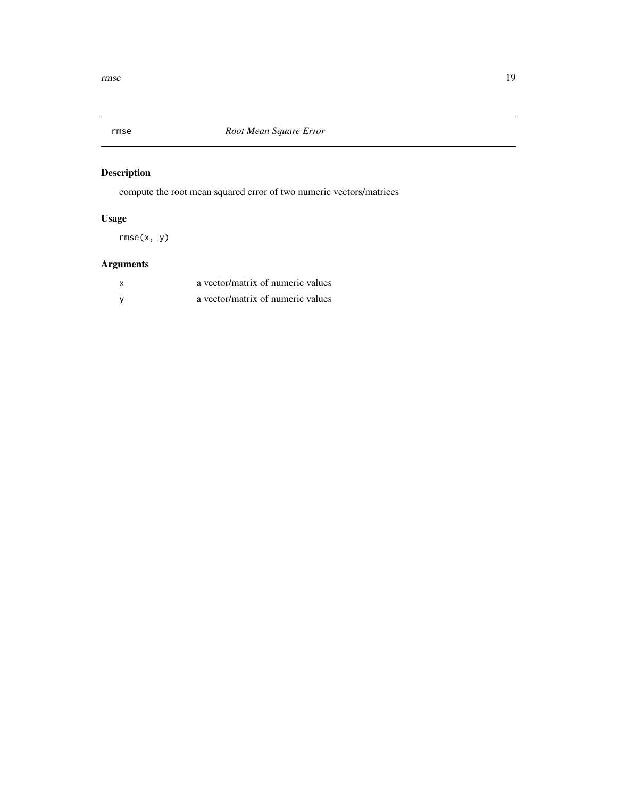<span id="page-18-0"></span>

compute the root mean squared error of two numeric vectors/matrices

# Usage

rmse(x, y)

| a vector/matrix of numeric values |
|-----------------------------------|
| a vector/matrix of numeric values |